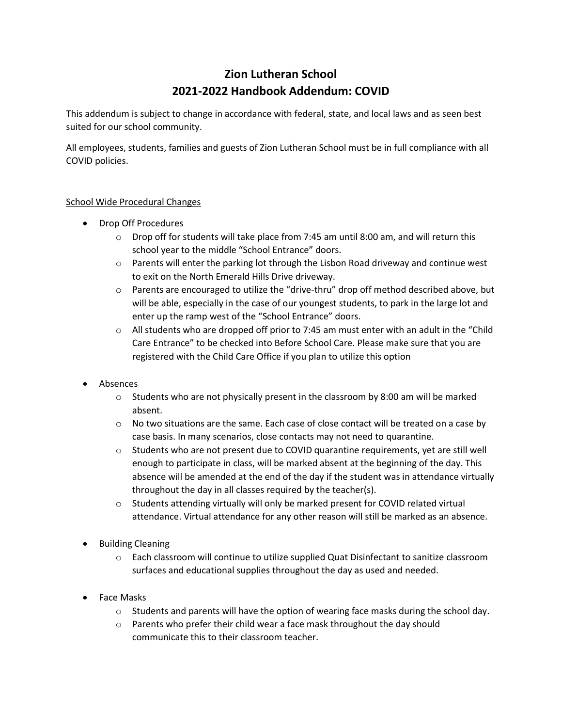## **Zion Lutheran School 2021-2022 Handbook Addendum: COVID**

This addendum is subject to change in accordance with federal, state, and local laws and as seen best suited for our school community.

All employees, students, families and guests of Zion Lutheran School must be in full compliance with all COVID policies.

## School Wide Procedural Changes

- Drop Off Procedures
	- $\circ$  Drop off for students will take place from 7:45 am until 8:00 am, and will return this school year to the middle "School Entrance" doors.
	- $\circ$  Parents will enter the parking lot through the Lisbon Road driveway and continue west to exit on the North Emerald Hills Drive driveway.
	- $\circ$  Parents are encouraged to utilize the "drive-thru" drop off method described above, but will be able, especially in the case of our youngest students, to park in the large lot and enter up the ramp west of the "School Entrance" doors.
	- $\circ$  All students who are dropped off prior to 7:45 am must enter with an adult in the "Child" Care Entrance" to be checked into Before School Care. Please make sure that you are registered with the Child Care Office if you plan to utilize this option
- Absences
	- $\circ$  Students who are not physically present in the classroom by 8:00 am will be marked absent.
	- $\circ$  No two situations are the same. Each case of close contact will be treated on a case by case basis. In many scenarios, close contacts may not need to quarantine.
	- $\circ$  Students who are not present due to COVID quarantine requirements, yet are still well enough to participate in class, will be marked absent at the beginning of the day. This absence will be amended at the end of the day if the student was in attendance virtually throughout the day in all classes required by the teacher(s).
	- $\circ$  Students attending virtually will only be marked present for COVID related virtual attendance. Virtual attendance for any other reason will still be marked as an absence.
- **•** Building Cleaning
	- o Each classroom will continue to utilize supplied Quat Disinfectant to sanitize classroom surfaces and educational supplies throughout the day as used and needed.
- Face Masks
	- $\circ$  Students and parents will have the option of wearing face masks during the school day.
	- o Parents who prefer their child wear a face mask throughout the day should communicate this to their classroom teacher.